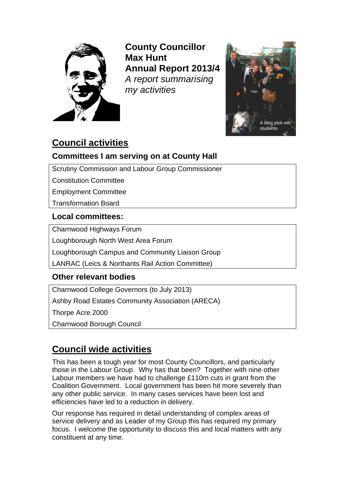

**County Councillor Max Hunt Annual Report 2013/4** *A report summarising my activities*



# **Council activities**

# **Committees I am serving on at County Hall**

Scrutiny Commission and Labour Group Commissioner

Constitution Committee

Employment Committee

Transformation Board

## **Local committees:**

Charnwood Highways Forum

Loughborough North West Area Forum

Loughborough Campus and Community Liaison Group

LANRAC (Leics & Northants Rail Action Committee)

## **Other relevant bodies**

Charnwood College Governors (to July 2013) Ashby Road Estates Community Association (ARECA) Thorpe Acre 2000 Charnwood Borough Council

# **Council wide activities**

This has been a tough year for most County Councillors, and particularly those in the Labour Group. Why has that been? Together with nine other Labour members we have had to challenge £110m cuts in grant from the Coalition Government. Local government has been hit more severely than any other public service. In many cases services have been lost and efficiencies have led to a reduction in delivery.

Our response has required in detail understanding of complex areas of service delivery and as Leader of my Group this has required my primary focus. I welcome the opportunity to discuss this and local matters with any constituent at any time.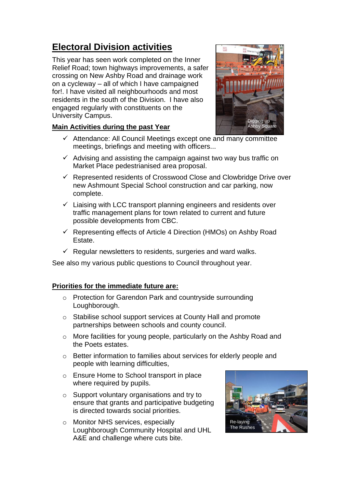# **Electoral Division activities**

This year has seen work completed on the Inner Relief Road; town highways improvements, a safer crossing on New Ashby Road and drainage work on a cycleway – all of which I have campaigned for!. I have visited all neighbourhoods and most residents in the south of the Division. I have also engaged regularly with constituents on the University Campus.

## **Main Activities during the past Year**



- $\checkmark$  Attendance: All Council Meetings except one and many committee meetings, briefings and meeting with officers...
- $\checkmark$  Advising and assisting the campaign against two way bus traffic on Market Place pedestrianised area proposal.
- $\checkmark$  Represented residents of Crosswood Close and Clowbridge Drive over new Ashmount Special School construction and car parking, now complete.
- $\checkmark$  Liaising with LCC transport planning engineers and residents over traffic management plans for town related to current and future possible developments from CBC.
- $\checkmark$  Representing effects of Article 4 Direction (HMOs) on Ashby Road Estate.
- $\checkmark$  Regular newsletters to residents, surgeries and ward walks.

See also my various public questions to Council throughout year.

## **Priorities for the immediate future are:**

- o Protection for Garendon Park and countryside surrounding Loughborough.
- o Stabilise school support services at County Hall and promote partnerships between schools and county council.
- o More facilities for young people, particularly on the Ashby Road and the Poets estates.
- o Better information to families about services for elderly people and people with learning difficulties,
- o Ensure Home to School transport in place where required by pupils.
- o Support voluntary organisations and try to ensure that grants and participative budgeting is directed towards social priorities.
- o Monitor NHS services, especially Loughborough Community Hospital and UHL A&E and challenge where cuts bite.